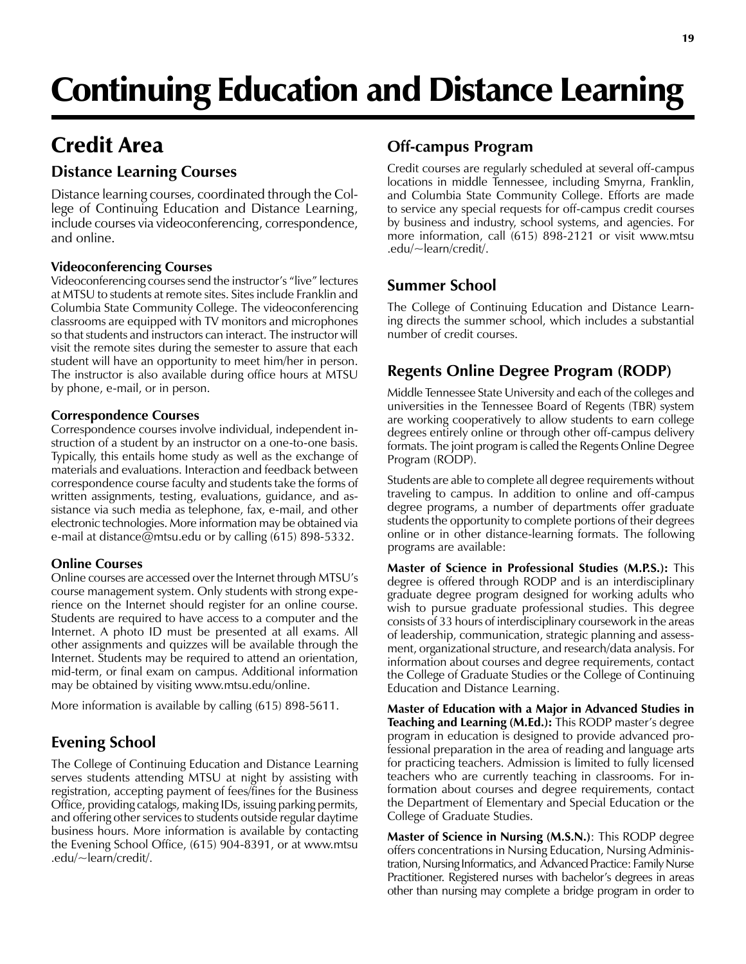# Continuing Education and Distance Learning

# Credit Area

## **Distance Learning Courses**

Distance learning courses, coordinated through the College of Continuing Education and Distance Learning, include courses via videoconferencing, correspondence, and online.

#### **Videoconferencing Courses**

Videoconferencing courses send the instructor's "live" lectures at MTSU to students at remote sites. Sites include Franklin and Columbia State Community College. The videoconferencing classrooms are equipped with TV monitors and microphones so that students and instructors can interact. The instructor will visit the remote sites during the semester to assure that each student will have an opportunity to meet him/her in person. The instructor is also available during office hours at MTSU by phone, e-mail, or in person.

#### **Correspondence Courses**

Correspondence courses involve individual, independent instruction of a student by an instructor on a one-to-one basis. Typically, this entails home study as well as the exchange of materials and evaluations. Interaction and feedback between correspondence course faculty and students take the forms of written assignments, testing, evaluations, guidance, and assistance via such media as telephone, fax, e-mail, and other electronic technologies. More information may be obtained via e-mail at distance@mtsu.edu or by calling (615) 898-5332.

#### **Online Courses**

Online courses are accessed over the Internet through MTSU's course management system. Only students with strong experience on the Internet should register for an online course. Students are required to have access to a computer and the Internet. A photo ID must be presented at all exams. All other assignments and quizzes will be available through the Internet. Students may be required to attend an orientation, mid-term, or final exam on campus. Additional information may be obtained by visiting www.mtsu.edu/online.

More information is available by calling (615) 898-5611.

# **Evening School**

The College of Continuing Education and Distance Learning serves students attending MTSU at night by assisting with registration, accepting payment of fees/fines for the Business Office, providing catalogs, making IDs, issuing parking permits, and offering other services to students outside regular daytime business hours. More information is available by contacting the Evening School Office, (615) 904-8391, or at www.mtsu .edu/~learn/credit/.

# **Off-campus Program**

Credit courses are regularly scheduled at several off-campus locations in middle Tennessee, including Smyrna, Franklin, and Columbia State Community College. Efforts are made to service any special requests for off-campus credit courses by business and industry, school systems, and agencies. For more information, call (615) 898-2121 or visit www.mtsu .edu/~learn/credit/.

# **Summer School**

The College of Continuing Education and Distance Learning directs the summer school, which includes a substantial number of credit courses.

# **Regents Online Degree Program (RODP)**

Middle Tennessee State University and each of the colleges and universities in the Tennessee Board of Regents (TBR) system are working cooperatively to allow students to earn college degrees entirely online or through other off-campus delivery formats. The joint program is called the Regents Online Degree Program (RODP).

Students are able to complete all degree requirements without traveling to campus. In addition to online and off-campus degree programs, a number of departments offer graduate students the opportunity to complete portions of their degrees online or in other distance-learning formats. The following programs are available:

**Master of Science in Professional Studies (M.P.S.):** This degree is offered through RODP and is an interdisciplinary graduate degree program designed for working adults who wish to pursue graduate professional studies. This degree consists of 33 hours of interdisciplinary coursework in the areas of leadership, communication, strategic planning and assessment, organizational structure, and research/data analysis. For information about courses and degree requirements, contact the College of Graduate Studies or the College of Continuing Education and Distance Learning.

**Master of Education with a Major in Advanced Studies in Teaching and Learning (M.Ed.):** This RODP master's degree program in education is designed to provide advanced professional preparation in the area of reading and language arts for practicing teachers. Admission is limited to fully licensed teachers who are currently teaching in classrooms. For information about courses and degree requirements, contact the Department of Elementary and Special Education or the College of Graduate Studies.

**Master of Science in Nursing (M.S.N.)**: This RODP degree offers concentrations in Nursing Education, Nursing Administration, Nursing Informatics, and Advanced Practice: Family Nurse Practitioner. Registered nurses with bachelor's degrees in areas other than nursing may complete a bridge program in order to